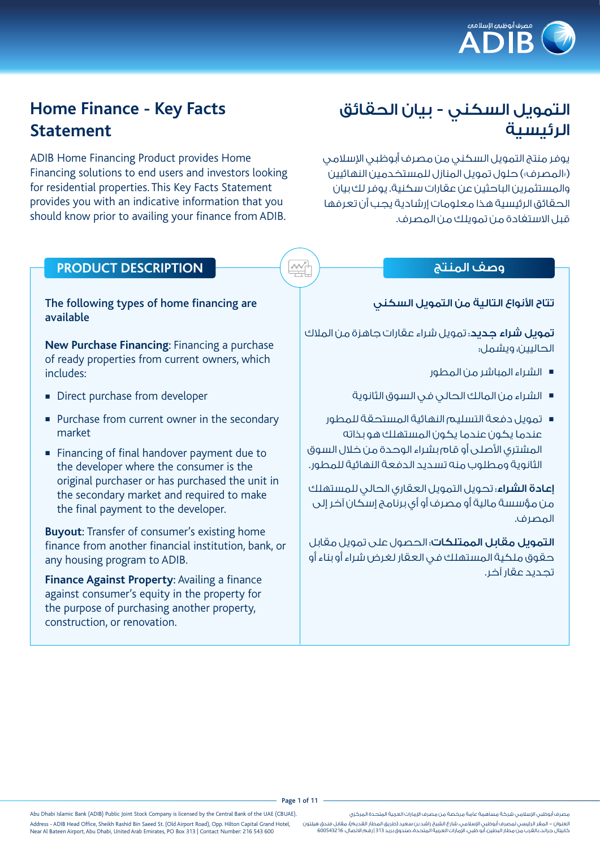

# التمويل السكني - بيان الحقائق الرئيسية

يوفر منتج التمويل السكني من مصرف أبوظبي الإسلامي )»المصرف«( حلول تمويل المنازل للمستخدمين النهائيين والمستثمرين الباحثين عن عقارات سكنية. يوفر لك بيان الحقائق الرئيسية هذا معلومات إرشادية يجب أن تعرفها قبل االستفادة من تمويلك من المصرف.

# **Home Finance - Key Facts Statement**

ADIB Home Financing Product provides Home Financing solutions to end users and investors looking for residential properties. This Key Facts Statement provides you with an indicative information that you should know prior to availing your finance from ADIB.

#### تتاح الأنواع التالية من التمويل السكني

<mark>تمويل شراء حديد</mark>: تمويل شراء عقارات جاهزة من الملاك الحاليين، ويشمل:

- <sup>n</sup> الشراء المباشر من المطور
- <sup>n</sup> الشراء من المالك الحالي في السوق الثانوية
- <sup>n</sup> تمويل دفعة التسليم النهائية المستحقة للمطور عندما يكون عندما يكون المستهلك هو بذاته المشترى الأصلى أو قام بشراء الوحدة من خلال السوق الثانوية ومطلوب منه تسديد الدفعة النهائية للمطور.

إعادة الشراء: تحويل التمويل العقاري الحالي للمستهلك من مؤسسة مالية أو مصرف أو أي برنامج إسكان آخر إلى المصرف.

التمويل مقابل الممتلكات: الحصول على تمويل مقابل حقوق ملكية المستهلك في العقار لغرض شراء أو بناء أو تجديد عقار آخر.

# وصف المنتج **DESCRIPTION PRODUCT**

#### The following types of home financing are available

**New Purchase Financing**: Financing a purchase of ready properties from current owners, which includes:

- Direct purchase from developer
- Purchase from current owner in the secondary market
- Financing of final handover payment due to the developer where the consumer is the original purchaser or has purchased the unit in the secondary market and required to make the final payment to the developer.

**Buyout**: Transfer of consumer's existing home finance from another financial institution, bank, or any housing program to ADIB.

**Finance Against Property**: Availing a finance against consumer's equity in the property for the purpose of purchasing another property, construction, or renovation.

Page 1 of 11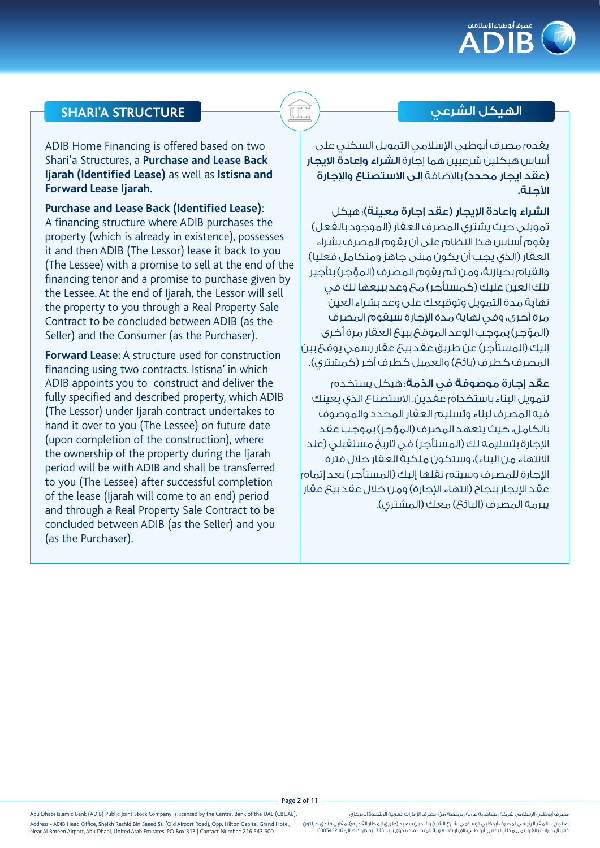

## **SHARI'A STRUCTURE** الشرعي الهيكل

ADIB Home Financing is offered based on two Shari'a Structures, a **Purchase and Lease Back Ijarah (Identified Lease)** as well as **Istisna and Forward Lease Ijarah**.

**Purchase and Lease Back (Identified Lease)**: A financing structure where ADIB purchases the property (which is already in existence), possesses it and then ADIB (The Lessor) lease it back to you (The Lessee) with a promise to sell at the end of the financing tenor and a promise to purchase given by the Lessee. At the end of Ijarah, the Lessor will sell the property to you through a Real Property Sale Contract to be concluded between ADIB (as the Seller) and the Consumer (as the Purchaser).

**Forward Lease**: A structure used for construction financing using two contracts. Istisna' in which ADIB appoints you to construct and deliver the fully specified and described property, which ADIB (The Lessor) under Ijarah contract undertakes to hand it over to you (The Lessee) on future date (upon completion of the construction), where the ownership of the property during the Ijarah period will be with ADIB and shall be transferred to you (The Lessee) after successful completion of the lease (Ijarah will come to an end) period and through a Real Property Sale Contract to be concluded between ADIB (as the Seller) and you (as the Purchaser).

يقدم مصرف أبوظبي اإلسالمي التمويل السكني على أساس هيكلين شرعيين هما إجارة الشراء وإعادة اإليجار )عقد إيجار محدد( باإلضافة إلى االستصناع واإلجارة اآلجلة.

الشراء وإعادة الإيجار (عقد إجارة معينة)؛ هيكل تمويلي حيث يشتري المصرف العقار )الموجود بالفعل( يقوم أساس هذا النظام على أن يقوم المصرف بشراء العقار (الذي يجب أن يكون مبنى جاهز ومتكامل فعليا) والقيام بحيازتة، ومن ثم يقوم المصرف )المؤجر( بتأجير تلك العين عليك (كمستأجر) مح وعد ببيعها لك في نهاية مدة التمويل وتوقيعك على وعد بشراء العين مرة أخرى، وفي نهاية مدة الإجارة سيقوم المصرف )المؤجر( بموجب الوعد الموقع ببيع العقار مرة أخرى إليك )المستأجر( عن طريق عقد بيع عقار رسمي يوقع بين المصرف كطرف (بائع) والعميل كطرف آخر (كمشتري).

عقد إجارة موصوفة في الذمة: هيكل يستخدم لتمويل البناء باستخدام عقدين. االستصناع الذي يعينك فيه المصرف لبناء وتسليم العقار المحدد والموصوف بالكامل، حيث يتعهد المصرف )المؤجر( بموجب عقد الإحارة بتسليمه لك (المستأجر) في تاريخ مستقبلي (عند الانتهاء من البناء)، وستكون ملكية العقار خلال فترة الاحارة للمصرف وسيتم نقلها اليك (المستأجر) بعد اتمام عقد الإيجار بنجاح (انتهاء الإجارة) ومن خلال عقد بيع عقار بيرمه المصرف (البائح) معك (المشتري).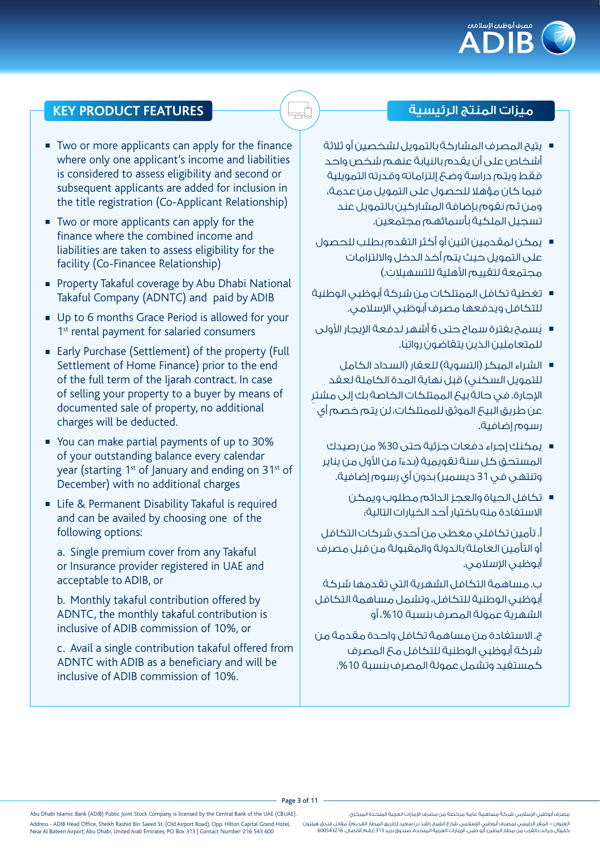

- يتيح المصرف المشاركة بالتمويل لشخصين أو ثلاثة أشخاص على أن يقدم بالنيابة عنهم شخص واحد فقط ويتم دراسة وضع إلتزاماته وقدرته التمويلية فيما كان مؤهال للحصول على التمويل من عدمة، ومن ثم نقوم بإضافة المشاركين بالتمويل عند تسجيل الملكية بأسمائهم مجتمعين.
- <sup>n</sup> يمكن لمقدمين اثنين أو أكثر التقدم بطلب للحصول على التمويل حيث يتم أخذ الدخل وااللتزامات مجتمعة لتقييم الأهلية للتسهيلات.)
- <sup>n</sup> تغطية تكافل الممتلكات من شركة أبوظبي الوطنية للتكافل ويدفعها مصرف أبوظبي اإلسالمي.
- يُسمح بغترة سماح حتى 6 أشهر لدفعة الإيجار الأولى ً للمتعاملين الذين يتقاضون رواتبا.
- الشراء المبكر (التسوية) للعقار (السداد الكامل للتمويل السكني( قبل نهاية المدة الكاملة لعقد ٍ اإلجارة. في حالة بيع الممتلكات الخاصة بك إلى مشتر عن طريق البيع الموثق للممتلكات، لن يتم خصم أي رسوم إضافية.
	- يمكنك إجراء دفعات جزئية حتى 30% من رصيدك المستحق كل سنة تقويمية (بدءًا من الأول من يناير **ّ** وتنتهي في 31 ديسمبر( بدون أي رسوم إضافية.
		- <sup>n</sup> تكافل الحياة والعجز الدائم مطلوب ويمكن االستفادة منه باختيار أحد الخيارات التالية:

أ. تأمين تكافلي مغطى من أحدى شركات التكافل أو التأمين العاملة بالدولة والمقبولة من قبل مصرف أبوظبي الإسلامي.

ب. مساهمة التكافل الشهرية التي تقدمها شركة أبوظبي الوطنية للتكافل، وتشمل مساهمة التكافل الشهرية عمولة المصرف بنسبة ،%10 أو

ج. االستفادة من مساهمة تكافل واحدة مقدمة من شركة أبوظبي الوطنية للتكافل مع المصرف كمستفيد وتشمل عمولة المصرف بنسبة .%10

# ميزات المنتج الرئيسية **FEATURES PRODUCT KEY**

- Two or more applicants can apply for the finance where only one applicant's income and liabilities is considered to assess eligibility and second or subsequent applicants are added for inclusion in the title registration (Co-Applicant Relationship)
- Two or more applicants can apply for the finance where the combined income and liabilities are taken to assess eligibility for the facility (Co-Financee Relationship)
- **Property Takaful coverage by Abu Dhabi National** Takaful Company (ADNTC) and paid by ADIB
- Up to 6 months Grace Period is allowed for your 1<sup>st</sup> rental payment for salaried consumers
- Early Purchase (Settlement) of the property (Full Settlement of Home Finance) prior to the end of the full term of the Ijarah contract. In case of selling your property to a buyer by means of documented sale of property, no additional charges will be deducted.
- <sup>n</sup> You can make partial payments of up to 30% of your outstanding balance every calendar year (starting 1<sup>st</sup> of January and ending on 31<sup>st</sup> of December) with no additional charges
- Life & Permanent Disability Takaful is required and can be availed by choosing one of the following options:

a. Single premium cover from any Takaful or Insurance provider registered in UAE and acceptable to ADIB, or

b. Monthly takaful contribution offered by ADNTC, the monthly takaful contribution is inclusive of ADIB commission of 10%, or

c. Avail a single contribution takaful offered from ADNTC with ADIB as a beneficiary and will be inclusive of ADIB commission of 10%.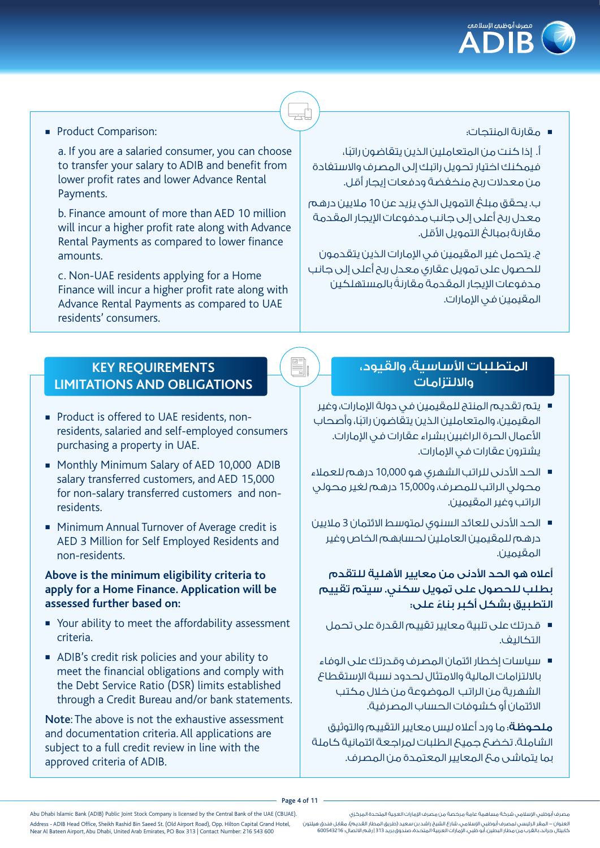

**Product Comparison:** 

a. If you are a salaried consumer, you can choose to transfer your salary to ADIB and benefit from lower profit rates and lower Advance Rental Payments.

b. Finance amount of more than AED 10 million will incur a higher profit rate along with Advance Rental Payments as compared to lower finance amounts.

c. Non-UAE residents applying for a Home Finance will incur a higher profit rate along with Advance Rental Payments as compared to UAE residents' consumers.

# **KEY REQUIREMENTS LIMITATIONS AND OBLIGATIONS**

- Product is offered to UAE residents, nonresidents, salaried and self-employed consumers purchasing a property in UAE.
- Monthly Minimum Salary of AED 10,000 ADIB salary transferred customers, and AED 15,000 for non-salary transferred customers and nonresidents.
- Minimum Annual Turnover of Average credit is AED 3 Million for Self Employed Residents and non-residents.

#### **Above is the minimum eligibility criteria to apply for a Home Finance. Application will be assessed further based on:**

- <sup>n</sup> Your ability to meet the affordability assessment criteria.
- ADIB's credit risk policies and your ability to meet the financial obligations and comply with the Debt Service Ratio (DSR) limits established through a Credit Bureau and/or bank statements.

Note: The above is not the exhaustive assessment and documentation criteria. All applications are subject to a full credit review in line with the approved criteria of ADIB.

# <sup>n</sup> مقارنة المنتجات:

ً أ. إذا كنت من المتعاملين الذين يتقاضون راتبا، فيمكنك اختيار تحويل راتبك إلى المصرف واالستفادة من معدلات ربح منخفضة ودفعات ايجار أقل.

ب. يحقق مبلغ التمويل الذي يزيد عن 10 ماليين درهم معدل ربح أعلى إلى جانب مدفوعات اإليجار المقدمة مقارنة بمبالغ التمويل الأقل.

ج. يتحمل غير المقيمين في اإلمارات الذين يتقدمون للحصول على تمويل عقاري معدل ربح أعلى إلى جانب ً مدفوعات اإليجار المقدمة مقارنة بالمستهلكين المقيمين في الإمارات.

# المتطلبات الأساسية، والقيود، وااللتزامات

- <sup>n</sup> يتم تقديم المنتج للمقيمين في دولة اإلمارات، وغير ً المقيمين، والمتعاملين الذين يتقاضون راتبا، وأصحاب األعمال الحرة الراغبين بشراء عقارات في اإلمارات. يشترون عقارات في الإمارات.
- <sup>n</sup> الحد األدنى للراتب الشهري هو 10,000 درهم للعمالء محولي الراتب للمصرف، و15,000 درهم لغير محولي الراتب وغير المقيمين.
- <sup>n</sup> الحد األدنى للعائد السنوي لمتوسط االئتمان 3 ماليين درهم للمقيمين العاملين لحسابهم الخاص وغير المقيمين.

### أعلاه هو الحد الأدنى من معايير الأهلية للتقدم بطلب للحصول على تمويل سكني. سيتم تقييم ً التطبيق بشكل أكبر بناء على:

- <sup>n</sup> قدرتك على تلبية معايير تقييم القدرة على تحمل التكاليف.
- <sup>n</sup> سياسات إخطار ائتمان المصرف وقدرتك على الوفاء بااللتزامات المالية واالمتثال لحدود نسبة اإلستقطاع الشهرية من الراتب الموضوعة من خالل مكتب االئتمان أو كشوفات الحساب المصرفية.

ملحوظة: ما ورد أعاله ليس معايير التقييم والتوثيق الشاملة. تخضع جميع الطلبات لمراجعة ائتمانية كاملة بما يتماشى مع المعايير المعتمدة من المصرف.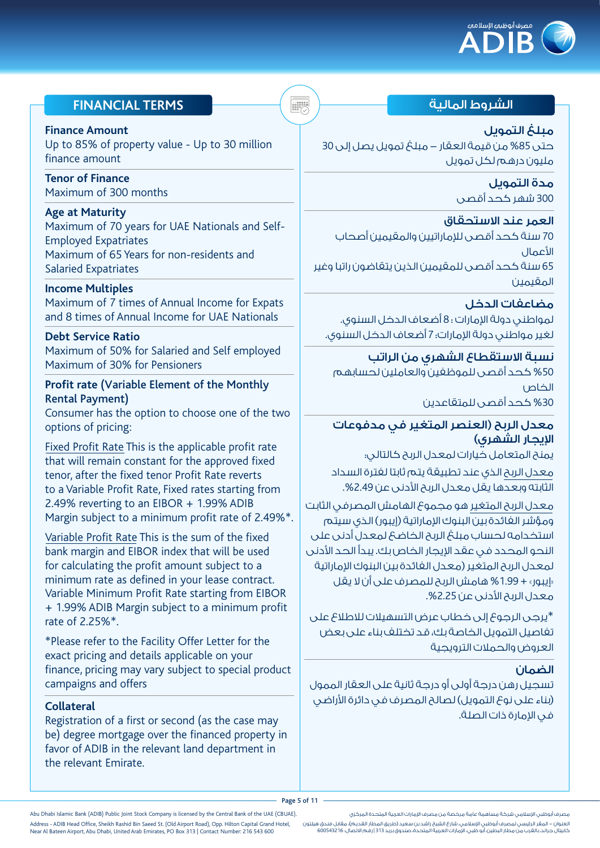

# الشروط المالية **TERMS FINANCIAL**

#### **Finance Amount**

Up to 85% of property value - Up to 30 million finance amount

**Tenor of Finance**  Maximum of 300 months

#### **Age at Maturity**

Maximum of 70 years for UAE Nationals and Self-Employed Expatriates Maximum of 65 Years for non-residents and Salaried Expatriates

#### **Income Multiples**

Maximum of 7 times of Annual Income for Expats and 8 times of Annual Income for UAE Nationals

#### **Debt Service Ratio**

Maximum of 50% for Salaried and Self employed Maximum of 30% for Pensioners

#### **Profit rate** (Variable Element of the Monthly Rental Payment)

Consumer has the option to choose one of the two options of pricing:

Fixed Profit Rate This is the applicable profit rate that will remain constant for the approved fixed tenor, after the fixed tenor Profit Rate reverts to a Variable Profit Rate, Fixed rates starting from 2.49% reverting to an EIBOR + 1.99% ADIB Margin subject to a minimum profit rate of 2.49%\*.

Variable Profit Rate This is the sum of the fixed bank margin and EIBOR index that will be used for calculating the profit amount subject to a minimum rate as defined in your lease contract. Variable Minimum Profit Rate starting from EIBOR + 1.99% ADIB Margin subject to a minimum profit rate of 2.25%\*.

\*Please refer to the Facility Offer Letter for the exact pricing and details applicable on your finance, pricing may vary subject to special product campaigns and offers

#### **Collateral**

Registration of a first or second (as the case may be) degree mortgage over the financed property in favor of ADIB in the relevant land department in the relevant Emirate.

مبلغ التمويل حتى %85 من قيمة العقار - مبلغ تمويل يصل إلى 30 مليون درهم لكل تمويل

> مدة التمويل 300 شهر كحد أقصى

#### العمر عند االستحقاق

70 سنة كحد أقصى لإلماراتيين والمقيمين أصحاب األعمال 65 سنة كحد أقصى للمقيمين الذين يتقاضون راتبا وغير المقيمين

مضاعفات الدخل لمواطني دولة الإمارات : 8 أضعاف الدخل السنوي. لغير مواطني دولة اإلمارات: 7 أضعاف الدخل السنوي.

نسبة االستقطاع الشهري من الراتب %50 كحد أقصى للموظفين والعاملين لحسابهم الخاص %30 كحد أقصى للمتقاعدين

### معدل الربح )العنصر المتغير في مدفوعات الإيجار الشهرى)

يمنح المتعامل خيارات لمعدل الربح كالتالي: معدل الربح الذي عند تطبيقة يتم ثابتا لفترة السداد الثابته وبعدها يقل معدل الربح الأدنى عن 2.49%.

معدل الربح المتغير هو مجموع الهامش المصرفي الثابت .<br>ومؤشر الغائدة بين البنوك الإماراتية (إيبور) الذي سيتم استخدامه لحساب مبلغ الربح الخاضع لمعدل أدنى على النحو المحدد في عقد اإليجار الخاص بك. يبدأ الحد األدنى لمعدل الربح المتغير (معدل الفائدة بين البنوك الإماراتية «إيبور» + 1.99% هامش الربح للمصرف على أن لا يقل معدل الربح الأدنى عن 2.25%.

\*يرجى الرجوع إلى خطاب عرض التسهيالت لالطالع على تفاصيل التمويل الخاصة بك، قد تختلف بناء على بعض العروض والحمالت الترويجية

#### الضمان

تسجيل رهن درجة أولى أو درجة ثانية على العقار الممول (بناء على نوع التمويل) لصالح المصرف في دائرة الأراضي في الإمارة ذات الصلة.

Page 5 of 11

مصرف أبوظبي اإلسالمي شركة مساهمة عامة مرخصة من مصرف اإلمارات العربية المتحدة المركزي العنوان - المقر الرئيسي لمصرف أبوظبي اإلسالمي، شارع الشيخ راشد بن سعيد )طريق المطار القديم(، مقابل فندق هيلتون

كابيتال جراند، بالقرب من مطار البطين، أبو ظبي، اإلمارات العربية المتحدة، صندوق بريد 313 | رقم االتصال: 600543216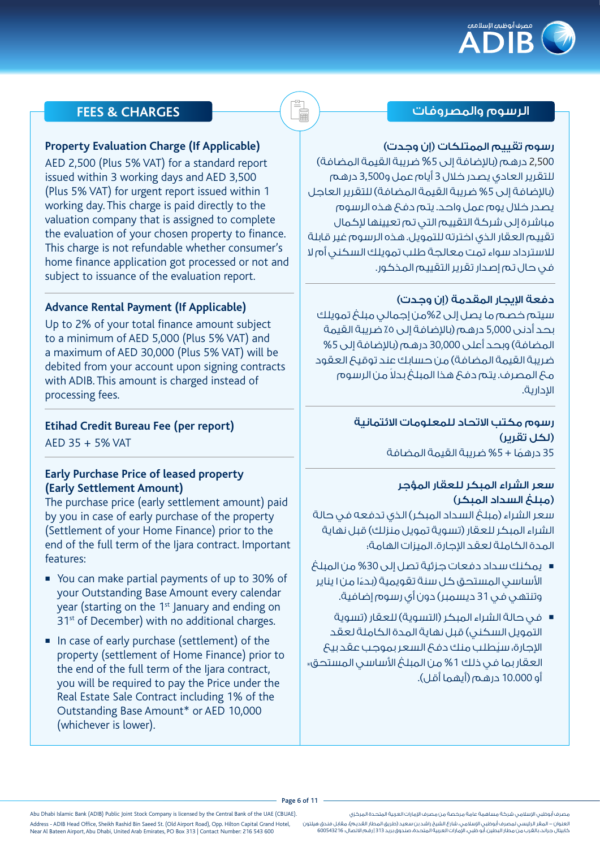

## الرسوم والمصروفات **CHARGES & FEES**

#### رسوم تقييم الممتلكات (إن وجدت)

2,500 درهم (بالإضافة إلى 5% ضريبة القيمة المضافة) للتقرير العادي يصدر خالل 3 أيام عمل و3,500 درهم )باإلضافة إلى %5 ضريبة القيمة المضافة( للتقرير العاجل يصدر خالل يوم عمل واحد. يتم دفع هذه الرسوم مباشرة إلى شركة التقييم التي تم تعيينها إلكمال تقييم العقار الذي اخترته للتمويل. هذه الرسوم غير قابلة لالسترداد سواء تمت معالجة طلب تمويلك السكني أم ال في حال تم إصدار تقرير التقييم المذكور.

#### دفعة الإيجار المقدمة (إن وجدت)

سيتم خصم ما يصل إلى %2من إجمالي مبلغ تمويلك بحد أدنى 5,000 درهم (بالإضافة إلى ٥٪ ضريبة القيمة المضافة) وبحد أعلى 30,000 درهم (بالإضافة إلى 5% ضريبة القيمة المضافة) من حسابك عند توقيع العقود ً مع المصرف. يتم دفع هذا المبلغ بدال من الرسوم اإلدارية.

# رسوم مكتب االتحاد للمعلومات االئتمانية )لكل تقرير(

35 درهمًا + 5% ضربية القيمة المضافة

### سعر الشراء المبكر للعقار المؤجر )مبلغ السداد المبكر(

سعر الشراء (مبلغ السداد المبكر) الذي تدفعه في حالة الشراء المبكر للعقار (تسوية تمويل منزلك) قبل نهاية المدة الكاملة لعقد الإجارة. الميزات الهامة:

- <sup>n</sup> يمكنك سداد دفعات جزئية تصل إلى %30 من المبلغ ً األساسي المستحق كل سنة تقويمية )بدءا من 1 يناير وتنتهي في 31 ديسمبر( دون أي رسوم إضافية.
- في حالة الشراء المبكر (التسوية) للعقار (تسوية التمويل السكني( قبل نهاية المدة الكاملة لعقد ُ اإلجارة، سيطلب منك دفع السعر بموجب عقد بيع العقار بما في ذلك %1 من المبلغ األساسي المستحق\* أو 10.000 درهم (أيهما أقل).

#### **Property Evaluation Charge (If Applicable)**

AED 2,500 (Plus 5% VAT) for a standard report issued within 3 working days and AED 3,500 (Plus 5% VAT) for urgent report issued within 1 working day. This charge is paid directly to the valuation company that is assigned to complete the evaluation of your chosen property to finance. This charge is not refundable whether consumer's home finance application got processed or not and subject to issuance of the evaluation report.

### **Advance Rental Payment (If Applicable)**

Up to 2% of your total finance amount subject to a minimum of AED 5,000 (Plus 5% VAT) and a maximum of AED 30,000 (Plus 5% VAT) will be debited from your account upon signing contracts with ADIB. This amount is charged instead of processing fees.

### **Etihad Credit Bureau Fee (per report)**

AED 35 + 5% VAT

### **Early Purchase Price of leased property (Early Settlement Amount)**

The purchase price (early settlement amount) paid by you in case of early purchase of the property (Settlement of your Home Finance) prior to the end of the full term of the Ijara contract. Important features:

- You can make partial payments of up to 30% of your Outstanding Base Amount every calendar year (starting on the 1<sup>st</sup> January and ending on 31<sup>st</sup> of December) with no additional charges.
- $\blacksquare$  In case of early purchase (settlement) of the property (settlement of Home Finance) prior to the end of the full term of the Ijara contract, you will be required to pay the Price under the Real Estate Sale Contract including 1% of the Outstanding Base Amount\* or AED 10,000 (whichever is lower).

مصرف أبوظبي اإلسالمي شركة مساهمة عامة مرخصة من مصرف اإلمارات العربية المتحدة المركزي العنوان - المقر الرئيسي لمصرف أبوظبي اإلسالمي، شارع الشيخ راشد بن سعيد )طريق المطار القديم(، مقابل فندق هيلتون كابيتال جراند، بالقرب من مطار البطين، أبو ظبي، اإلمارات العربية المتحدة، صندوق بريد 313 | رقم االتصال: 600543216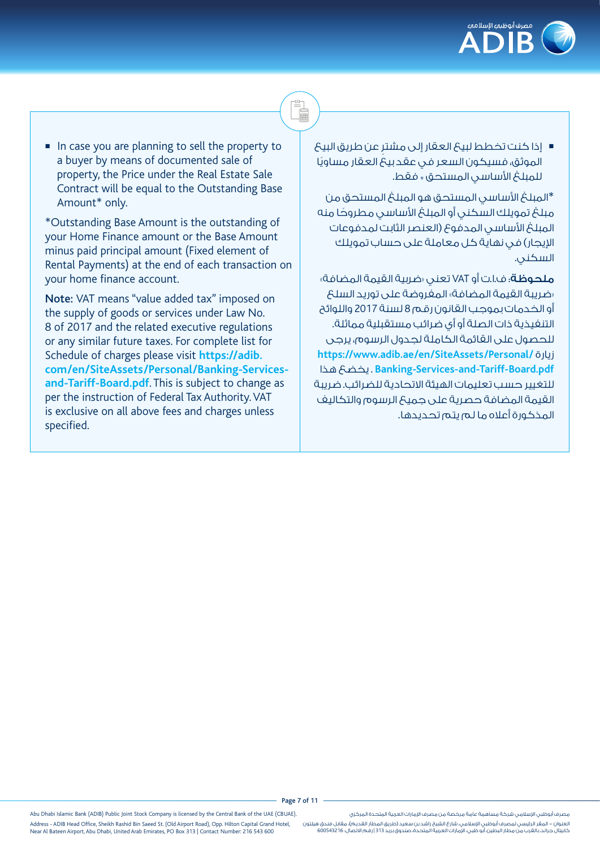

■ إذا كنت تخطط لبيعَ العقار إلى مشتر عن طريق البيعَ ً الموثق، فسيكون السعر في عقد بيع العقار مساويا للمبلغ الأساسي المستحق <sub>\*</sub> فقط.

i<br>F

\*المبلغ األساسي المستحق هو المبلغ المستحق من مبلغ تمويلك السكني أو المبلغ الأساسي مطروحًا منه المبلغ الأساسي المدفوع (العنصر الثابت لمدفوعات اإليجار( في نهاية كل معاملة على حساب تمويلك السكني.

ملحوظة: ف.ا.ت أو VAT تعني «ضربية القيمة المضافة» »ضريبة القيمة المضافة« المفروضة على توريد السلع أو الخدمات بموجب القانون رقم 8 لسنة 2017 واللوائح التنفيذية ذات الصلة أو أي ضرائب مستقبلية مماثلة. للحصول على القائمة الكاملة لجدول الرسوم، يرجى **https://www.adib.ae/en/SiteAssets/Personal/** زيارة هذا يخضع . **Banking-Services-and-Tariff-Board.pdf** للتغيير حسب تعليمات الهيئة االتحادية للضرائب. ضريبة القيمة المضافة حصرية على جميع الرسوم والتكاليف المذكورة أعاله ما لم يتم تحديدها.

 $\blacksquare$  In case you are planning to sell the property to a buyer by means of documented sale of property, the Price under the Real Estate Sale Contract will be equal to the Outstanding Base Amount\* only.

\*Outstanding Base Amount is the outstanding of your Home Finance amount or the Base Amount minus paid principal amount (Fixed element of Rental Payments) at the end of each transaction on your home finance account.

Note: VAT means "value added tax" imposed on the supply of goods or services under Law No. 8 of 2017 and the related executive regulations or any similar future taxes. For complete list for Schedule of charges please visit **https://adib. com/en/SiteAssets/Personal/Banking-Servicesand-Tariff-Board.pdf**. This is subject to change as per the instruction of Federal Tax Authority. VAT is exclusive on all above fees and charges unless specified.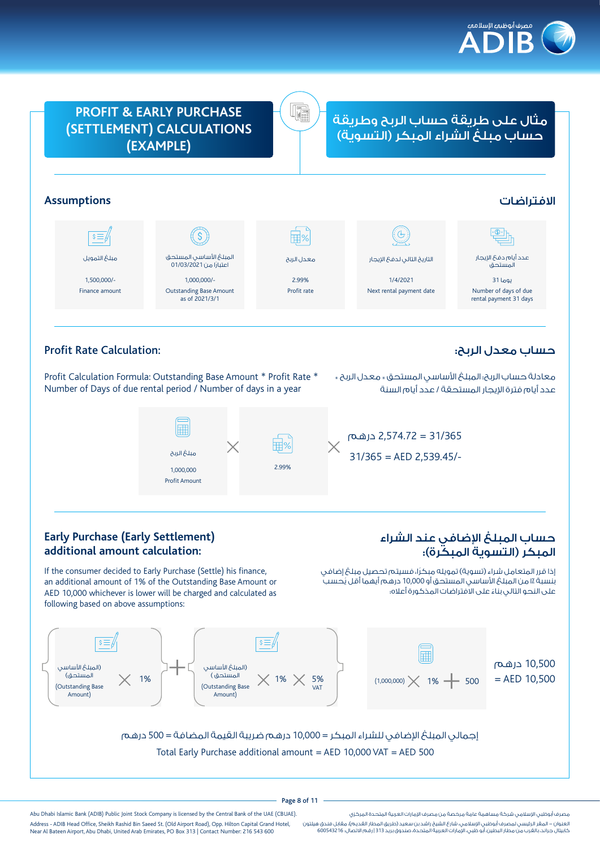



# Profit Rate Calculation:

Profit Calculation Formula: Outstanding Base Amount \* Profit Rate \* Number of Days of due rental period / Number of days in a year

معادلة حساب الربح: المبلغ األساسي المستحق \* معدل الربح \* عدد أيام فترة الإيجار المستحقة / عدد أيام السنة

حساب معدل الربح:



31/365 = 2,574.72 درهم 31/365 = AED 2,539.45/-

### **Early Purchase (Early Settlement) additional amount calculation:**

If the consumer decided to Early Purchase (Settle) his finance, an additional amount of 1% of the Outstanding Base Amount or AED 10,000 whichever is lower will be charged and calculated as following based on above assumptions:

# حساب المبلغ اإلضافي عند الشراء المبكر (التسوية المبكرة):

إذا قرر المتعامل شراء (تسوية) تمويله مبكرًا، فسيتم تحصيل مبلغ إضافي بنسبة ٪ا من المبلغ الأساسي المستحق أو 10,000 درهم أيهما أقل يُحسب ً على النحو التالي بناء على االفتراضات المذكورة أعاله:



إجمالي المبلغ اإلضافي للشراء المبكر = 10,000 درهم ضريبة القيمة المضافة = 500 درهم Total Early Purchase additional amount = AED 10,000 VAT = AED 500

#### Page 8 of 11

Abu Dhabi Islamic Bank (ADIB) Public Joint Stock Company is licensed by the Central Bank of the UAE (CBUAE). Address - ADIB Head Office, Sheikh Rashid Bin Saeed St. (Old Airport Road), Opp. Hilton Capital Grand Hotel, Near Al Bateen Airport, Abu Dhabi, United Arab Emirates, PO Box 313 | Contact Number: 216 543 600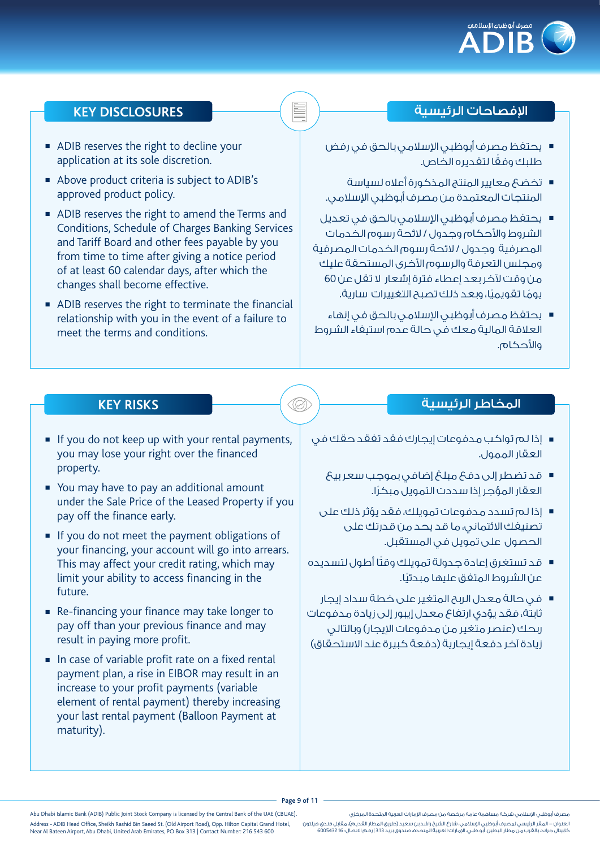

## اإلفصاحات الرئيسية **DISCLOSURES KEY**

- يحتفظ مصرف أبوظبي الإسلامي بالحق في رفض ً طلبك وفقا لتقديره الخاص.
- <sup>n</sup> تخضع معايير المنتج المذكورة أعاله لسياسة المنتجات المعتمدة من مصرف أبوظبي اإلسالمي.
- يحتفظ مصرف أبوظبي الإسلامي بالحق في تعديل الشروط واألحكام وجدول / الئحة رسوم الخدمات المصرفية وجدول / الئحة رسوم الخدمات المصرفية ومجلس التعرفة والرسوم الأخرى المستحقة عليك من وقت آلخر بعد إعطاء فترة إشعار ال تقل عن 60 يومًا تقويميًا، وبعد ذلك تصبح التغييرات سارية.
- يحتفظ مصرف أبوظبي الإسلامي بالحق في إنهاء العالقة المالية معك في حالة عدم استيفاء الشروط والأحكام.

- **ADIB reserves the right to decline your** application at its sole discretion.
- <sup>n</sup> Above product criteria is subject to ADIB's approved product policy.
- <sup>n</sup> ADIB reserves the right to amend the Terms and Conditions, Schedule of Charges Banking Services and Tariff Board and other fees payable by you from time to time after giving a notice period of at least 60 calendar days, after which the changes shall become effective.
- ADIB reserves the right to terminate the financial relationship with you in the event of a failure to meet the terms and conditions.

## المخاطر الرئيسية **RISKS KEY**

- If you do not keep up with your rental payments, you may lose your right over the financed property.
- You may have to pay an additional amount under the Sale Price of the Leased Property if you pay off the finance early.
- If you do not meet the payment obligations of your financing, your account will go into arrears. This may affect your credit rating, which may limit your ability to access financing in the future.
- **Re-financing your finance may take longer to** pay off than your previous finance and may result in paying more profit.
- $\blacksquare$  In case of variable profit rate on a fixed rental payment plan, a rise in EIBOR may result in an increase to your profit payments (variable element of rental payment) thereby increasing your last rental payment (Balloon Payment at maturity).
- <sup>n</sup> إذا لم تواكب مدفوعات إيجارك فقد تفقد حقك في العقار الممول.
	- <sup>n</sup> قد تضطر إلى دفع مبلغ إضافي بموجب سعر بيع ً العقار المؤجر إذا سددت التمويل مبكرا.
	- <sup>n</sup> إذا لم تسدد مدفوعات تمويلك، فقد يؤثر ذلك على تصنيفك االئتماني، ما قد يحد من قدرتك على الحصول على تمويل في المستقبل.
- قد تستغرق إعادة جدولة تمويلك وقتًا أطول لتسديده ً عن الشروط المتفق عليها مبدئيا.
- <sup>n</sup> في حالة معدل الربح المتغير على خطة سداد إيجار ثابتة، فقد يؤدي ارتفاع معدل إيبور إلى زيادة مدفوعات ربحك (عنصر متغير من مدفوعات الإيجار) وبالتالي زيادة آخر دفعة إيجارية (دفعة كبيرة عند الاستحقاق)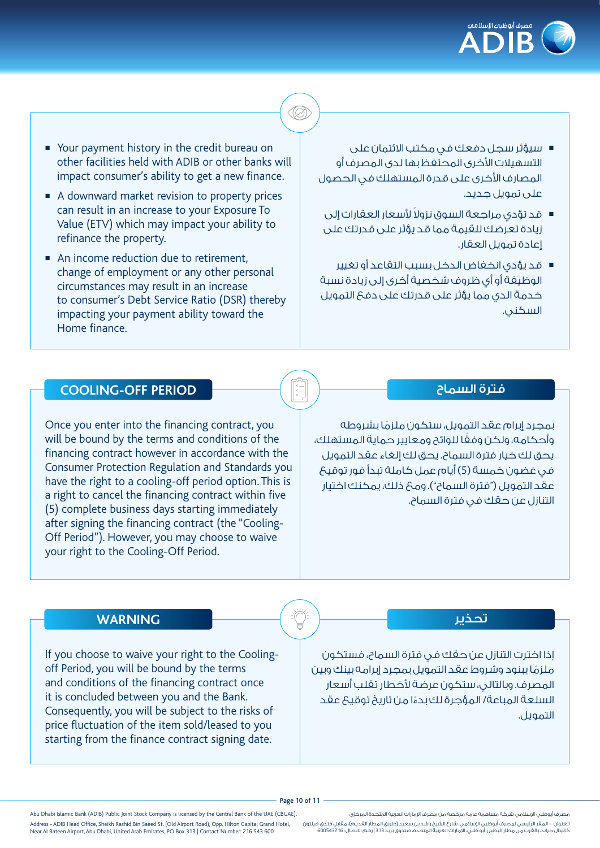

- <sup>n</sup> سيؤثر سجل دفعك في مكتب االئتمان على التسهيلات الأخرى المحتفظ بها لدى المصرف أو المصارف األخرى على قدرة المستهلك في الحصول على تمويل جديد.
- قد تؤدي مراجعة السوق نزولاً لأسعار العقارات إلى زيادة تعرضك للقيمة مما قد يؤثر على قدرتك على إعادة تمويل العقار.
- <sup>n</sup> قد يؤدي انخفاض الدخل بسبب التقاعد أو تغيير الوظيفة أو أي ظروف شخصية أخرى إلى زيادة نسبة خدمة الدي مما يؤثر على قدرتك على دفع التمويل السكني.
- Your payment history in the credit bureau on other facilities held with ADIB or other banks will impact consumer's ability to get a new finance.
- A downward market revision to property prices can result in an increase to your Exposure To Value (ETV) which may impact your ability to refinance the property.
- An income reduction due to retirement, change of employment or any other personal circumstances may result in an increase to consumer's Debt Service Ratio (DSR) thereby impacting your payment ability toward the Home finance.

### فترة السماح

ً بمجرد إبرام عقد التمويل، ستكون ملزما بشروطه ً وأحكامه، ولكن وفقا للوائح ومعايير حماية المستهلك، يحق لك خيار فترة السماح. يحق لك إلغاء عقد التمويل في غضون خمسة (5) أيام عمل كاملة تبدأ فور توقيع عقد التمويل ("فترة السماح"). ومع ذلك، يمكنك اختيار التنازل عن حقك في فترة السماح.

### **COOLING-OFF PERIOD**

Once you enter into the financing contract, you will be bound by the terms and conditions of the financing contract however in accordance with the Consumer Protection Regulation and Standards you have the right to a cooling-off period option. This is a right to cancel the financing contract within five (5) complete business days starting immediately after signing the financing contract (the "Cooling-Off Period"). However, you may choose to waive your right to the Cooling-Off Period.

## **WARNING**

If you choose to waive your right to the Coolingoff Period, you will be bound by the terms and conditions of the financing contract once it is concluded between you and the Bank. Consequently, you will be subject to the risks of price fluctuation of the item sold/leased to you starting from the finance contract signing date.

#### تحذير

إذا اخترت التنازل عن حقك في فترة السماح، فستكون ً ملزما ببنود وشروط عقد التمويل بمجرد إبرامه بينك وبين المصرف. وبالتالي، ستكون عرضة لأخطار تقلب أسعار السلعة المباعة/ المؤجرة لك بدءا من تاريخ توقيع عقد **ّ** التمويل.

#### Page 10 of 11

Abu Dhabi Islamic Bank (ADIB) Public Joint Stock Company is licensed by the Central Bank of the UAE (CBUAE). Address - ADIB Head Office, Sheikh Rashid Bin Saeed St. (Old Airport Road), Opp. Hilton Capital Grand Hotel, Near Al Bateen Airport, Abu Dhabi, United Arab Emirates, PO Box 313 | Contact Number: 216 543 600